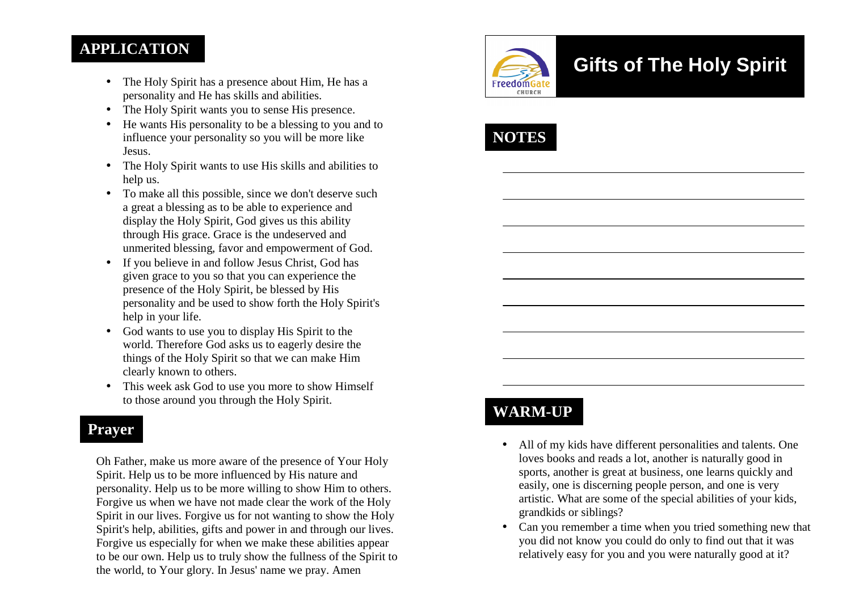### **APPLICATION**

- The Holy Spirit has a presence about Him, He has a personality and He has skills and abilities.
- The Holy Spirit wants you to sense His presence.
- He wants His personality to be a blessing to you and to influence your personality so you will be more likeJesus.
- The Holy Spirit wants to use His skills and abilities to help us.
- To make all this possible, since we don't deserve such a great a blessing as to be able to experience and display the Holy Spirit, God gives us this ability through His grace. Grace is the undeserved and unmerited blessing, favor and empowerment of God.
- If you believe in and follow Jesus Christ, God has given grace to you so that you can experience the presence of the Holy Spirit, be blessed by His personality and be used to show forth the Holy Spirit's help in your life.
- God wants to use you to display His Spirit to the world. Therefore God asks us to eagerly desire the things of the Holy Spirit so that we can make Him clearly known to others.
- This week ask God to use you more to show Himself to those around you through the Holy Spirit.

## **Prayer**

Oh Father, make us more aware of the presence of Your Holy Spirit. Help us to be more influenced by His nature and personality. Help us to be more willing to show Him to others. Forgive us when we have not made clear the work of the Holy Spirit in our lives. Forgive us for not wanting to show the Holy Spirit's help, abilities, gifts and power in and through our lives. Forgive us especially for when we make these abilities appear to be our own. Help us to truly show the fullness of the Spirit to the world, to Your glory. In Jesus' name we pray. Amen



# **Gifts of The Holy Spirit**



# **WARM-UP**

- All of my kids have different personalities and talents. One loves books and reads a lot, another is naturally good in sports, another is great at business, one learns quickly and easily, one is discerning people person, and one is very artistic. What are some of the special abilities of your kids, grandkids or siblings?
- Can you remember a time when you tried something new that you did not know you could do only to find out that it was relatively easy for you and you were naturally good at it?